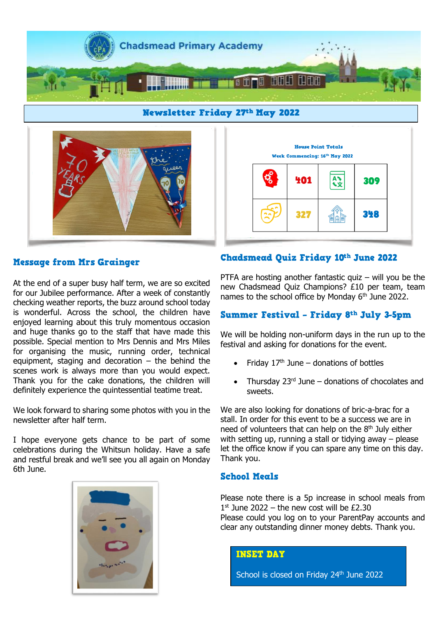



House Point Totals Week Commencing: 16th May 2022 Ary 401 309 348 327

# **Message from Mrs Grainger**

At the end of a super busy half term, we are so excited for our Jubilee performance. After a week of constantly checking weather reports, the buzz around school today is wonderful. Across the school, the children have enjoyed learning about this truly momentous occasion and huge thanks go to the staff that have made this possible. Special mention to Mrs Dennis and Mrs Miles for organising the music, running order, technical equipment, staging and decoration  $-$  the behind the scenes work is always more than you would expect. Thank you for the cake donations, the children will definitely experience the quintessential teatime treat.

We look forward to sharing some photos with you in the newsletter after half term.

I hope everyone gets chance to be part of some celebrations during the Whitsun holiday. Have a safe and restful break and we'll see you all again on Monday 6th June.



# Chadsmead Quiz Friday 10th June 2022

PTFA are hosting another fantastic quiz  $-$  will you be the new Chadsmead Quiz Champions? £10 per team, team names to the school office by Monday 6<sup>th</sup> June 2022.

# Summer Festival - Friday 8th July 3-5pm

We will be holding non-uniform days in the run up to the festival and asking for donations for the event.

- Friday  $17<sup>th</sup>$  June donations of bottles
- Thursday  $23<sup>rd</sup>$  June donations of chocolates and sweets.

We are also looking for donations of bric-a-brac for a stall. In order for this event to be a success we are in need of volunteers that can help on the  $8<sup>th</sup>$  July either with setting up, running a stall or tidying away – please let the office know if you can spare any time on this day. Thank you.

# **School Meals**

Please note there is a 5p increase in school meals from  $1<sup>st</sup>$  June 2022 – the new cost will be £2.30 Please could you log on to your ParentPay accounts and clear any outstanding dinner money debts. Thank you.

**INSET DAY** 

School is closed on Friday 24<sup>th</sup> June 2022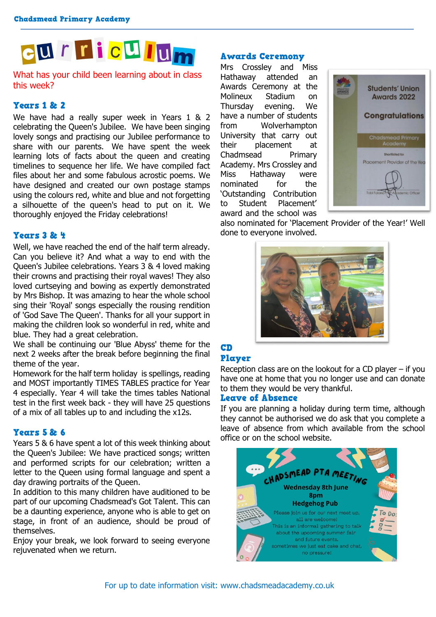

# What has your child been learning about in class this week?

# **Years 1 & 2**

We have had a really super week in Years 1 & 2 celebrating the Queen's Jubilee. We have been singing lovely songs and practising our Jubilee performance to share with our parents. We have spent the week learning lots of facts about the queen and creating timelines to sequence her life. We have compiled fact files about her and some fabulous acrostic poems. We have designed and created our own postage stamps using the colours red, white and blue and not forgetting a silhouette of the queen's head to put on it. We thoroughly enjoyed the Friday celebrations!

#### Years 3 & 4

Well, we have reached the end of the half term already. Can you believe it? And what a way to end with the Queen's Jubilee celebrations. Years 3 & 4 loved making their crowns and practising their royal waves! They also loved curtseying and bowing as expertly demonstrated by Mrs Bishop. It was amazing to hear the whole school sing their 'Royal' songs especially the rousing rendition of 'God Save The Queen'. Thanks for all your support in making the children look so wonderful in red, white and blue. They had a great celebration.

We shall be continuing our 'Blue Abyss' theme for the next 2 weeks after the break before beginning the final theme of the year.

Homework for the half term holiday is spellings, reading and MOST importantly TIMES TABLES practice for Year 4 especially. Year 4 will take the times tables National test in the first week back - they will have 25 questions of a mix of all tables up to and including the x12s.

# Years 5 & 6

Years 5 & 6 have spent a lot of this week thinking about the Queen's Jubilee: We have practiced songs; written and performed scripts for our celebration; written a letter to the Queen using formal language and spent a day drawing portraits of the Queen.

In addition to this many children have auditioned to be part of our upcoming Chadsmead's Got Talent. This can be a daunting experience, anyone who is able to get on stage, in front of an audience, should be proud of themselves.

Enjoy your break, we look forward to seeing everyone rejuvenated when we return.

# **Awards Ceremony**

Mrs Crossley and Miss Hathaway attended an Awards Ceremony at the Molineux Stadium on Thursday evening. We have a number of students from Wolverhampton University that carry out their placement at Chadmsead Primary Academy. Mrs Crossley and Miss Hathaway were nominated for the 'Outstanding Contribution to Student Placement' award and the school was



also nominated for 'Placement Provider of the Year!' Well done to everyone involved.



# CD Player

Reception class are on the lookout for a CD player – if you have one at home that you no longer use and can donate to them they would be very thankful.

#### **Leave of Absence**

If you are planning a holiday during term time, although they cannot be authorised we do ask that you complete a leave of absence from which available from the school office or on the school website.